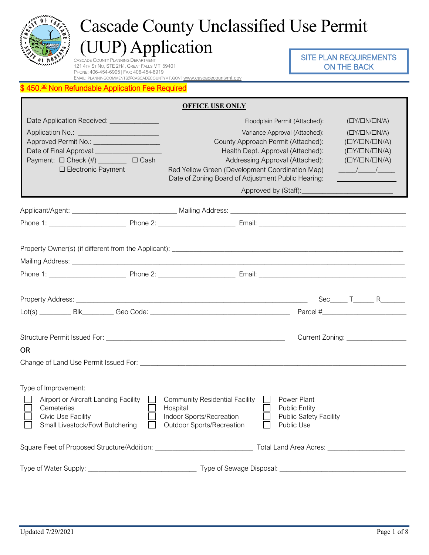

# Cascade County Unclassified Use Permit (UUP) Application

CASCADE COUNTY PLANNING DEPARTMENT 121 4TH ST NO, STE 2H/I, GREAT FALLS MT 59401 PHONE: 406-454-6905 | FAX: 406-454-6919 EMAIL: [PLANNINGCOMMENTS@CASCADECOUNTYMT.GOV](mailto:planningcomments@cascadecountymt.gov) | [www.cascadecountymt.gov](http://www.cascadecountymt.gov/)

### SITE PLAN REQUIREMENTS ON THE BACK

#### 450.<sup>00</sup> Non Refundable Application Fee Required

|                                                                                                                                                                                                                                        | <b>OFFICE USE ONLY</b>                                                                                                                                                                                                                                                                                                                                                                                                                                                                                                                                                                                                                                          |  |  |  |
|----------------------------------------------------------------------------------------------------------------------------------------------------------------------------------------------------------------------------------------|-----------------------------------------------------------------------------------------------------------------------------------------------------------------------------------------------------------------------------------------------------------------------------------------------------------------------------------------------------------------------------------------------------------------------------------------------------------------------------------------------------------------------------------------------------------------------------------------------------------------------------------------------------------------|--|--|--|
| Date Application Received: ______________                                                                                                                                                                                              | Floodplain Permit (Attached):<br>$(\square Y/\square N/\square N/A)$                                                                                                                                                                                                                                                                                                                                                                                                                                                                                                                                                                                            |  |  |  |
| Application No.: _________________________<br>Approved Permit No.: ____________________<br>Date of Final Approval: <u>[11]</u> Date of Final Approval:<br>Payment: $\Box$ Check (#) _________ $\Box$ Cash<br>$\Box$ Electronic Payment | $(\Box Y/\Box N/\Box N/A)$<br>Variance Approval (Attached):<br>County Approach Permit (Attached):<br>$(\square Y/\square N/\square N/A)$<br>Health Dept. Approval (Attached):<br>$(\square Y/\square N/\square N/A)$<br>Addressing Approval (Attached):<br>$(\Box Y/\Box N/\Box N/A)$<br>Red Yellow Green (Development Coordination Map)<br>$\frac{1}{2}$ $\frac{1}{2}$ $\frac{1}{2}$ $\frac{1}{2}$ $\frac{1}{2}$ $\frac{1}{2}$ $\frac{1}{2}$ $\frac{1}{2}$ $\frac{1}{2}$ $\frac{1}{2}$ $\frac{1}{2}$ $\frac{1}{2}$ $\frac{1}{2}$ $\frac{1}{2}$ $\frac{1}{2}$ $\frac{1}{2}$ $\frac{1}{2}$ $\frac{1}{2}$ $\frac{1}{2}$ $\frac{1}{2}$ $\frac{1}{2}$ $\frac{1}{2}$ |  |  |  |
|                                                                                                                                                                                                                                        | Date of Zoning Board of Adjustment Public Hearing:<br><u> 1990 - Jan Alexandria (</u>                                                                                                                                                                                                                                                                                                                                                                                                                                                                                                                                                                           |  |  |  |
|                                                                                                                                                                                                                                        | Approved by (Staff):                                                                                                                                                                                                                                                                                                                                                                                                                                                                                                                                                                                                                                            |  |  |  |
|                                                                                                                                                                                                                                        |                                                                                                                                                                                                                                                                                                                                                                                                                                                                                                                                                                                                                                                                 |  |  |  |
|                                                                                                                                                                                                                                        |                                                                                                                                                                                                                                                                                                                                                                                                                                                                                                                                                                                                                                                                 |  |  |  |
|                                                                                                                                                                                                                                        |                                                                                                                                                                                                                                                                                                                                                                                                                                                                                                                                                                                                                                                                 |  |  |  |
|                                                                                                                                                                                                                                        | $Sec$ $T$ $R$ $R$                                                                                                                                                                                                                                                                                                                                                                                                                                                                                                                                                                                                                                               |  |  |  |
|                                                                                                                                                                                                                                        | Current Zoning: ___________________                                                                                                                                                                                                                                                                                                                                                                                                                                                                                                                                                                                                                             |  |  |  |
| <b>OR</b>                                                                                                                                                                                                                              |                                                                                                                                                                                                                                                                                                                                                                                                                                                                                                                                                                                                                                                                 |  |  |  |
|                                                                                                                                                                                                                                        |                                                                                                                                                                                                                                                                                                                                                                                                                                                                                                                                                                                                                                                                 |  |  |  |
| Type of Improvement:<br>Airport or Aircraft Landing Facility<br>Cemeteries<br><b>Civic Use Facility</b><br>Small Livestock/Fowl Butchering                                                                                             | $\Box$ Community Residential Facility $\Box$<br>Power Plant<br>Hospital<br><b>Public Entity</b><br>Indoor Sports/Recreation<br><b>Public Safety Facility</b><br><b>Outdoor Sports/Recreation</b><br><b>Public Use</b>                                                                                                                                                                                                                                                                                                                                                                                                                                           |  |  |  |
|                                                                                                                                                                                                                                        |                                                                                                                                                                                                                                                                                                                                                                                                                                                                                                                                                                                                                                                                 |  |  |  |
|                                                                                                                                                                                                                                        |                                                                                                                                                                                                                                                                                                                                                                                                                                                                                                                                                                                                                                                                 |  |  |  |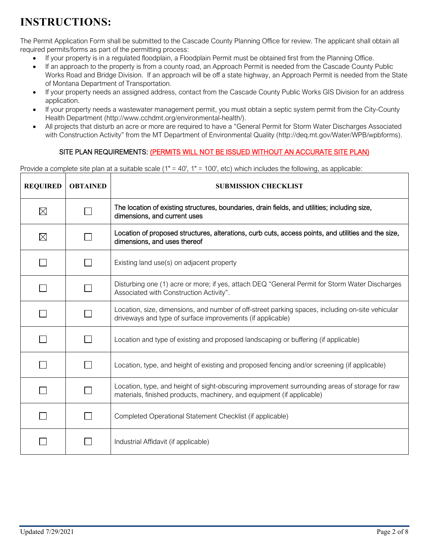# **INSTRUCTIONS:**

The Permit Application Form shall be submitted to the Cascade County Planning Office for review. The applicant shall obtain all required permits/forms as part of the permitting process:

- If your property is in a regulated floodplain, a Floodplain Permit must be obtained first from the Planning Office.
- If an approach to the property is from a county road, an Approach Permit is needed from the Cascade County Public Works Road and Bridge Division. If an approach will be off a state highway, an Approach Permit is needed from the State of Montana Department of Transportation.
- If your property needs an assigned address, contact from the Cascade County Public Works GIS Division for an address application.
- If your property needs a wastewater management permit, you must obtain a septic system permit from the City-County Health Department (http://www.cchdmt.org/environmental-health/).
- All projects that disturb an acre or more are required to have a "General Permit for Storm Water Discharges Associated with Construction Activity" from the MT Department of Environmental Quality (http://deq.mt.gov/Water/WPB/wpbforms).

### SITE PLAN REQUIREMENTS: (PERMITS WILL NOT BE ISSUED WITHOUT AN ACCURATE SITE PLAN)

Provide a complete site plan at a suitable scale  $(1" = 40'$ ,  $1" = 100'$ , etc) which includes the following, as applicable:

| <b>REQUIRED</b> | <b>OBTAINED</b> | <b>SUBMISSION CHECKLIST</b>                                                                                                                                              |
|-----------------|-----------------|--------------------------------------------------------------------------------------------------------------------------------------------------------------------------|
| $\boxtimes$     |                 | The location of existing structures, boundaries, drain fields, and utilities; including size,<br>dimensions, and current uses                                            |
| $\boxtimes$     |                 | Location of proposed structures, alterations, curb cuts, access points, and utilities and the size,<br>dimensions, and uses thereof                                      |
|                 |                 | Existing land use(s) on adjacent property                                                                                                                                |
|                 |                 | Disturbing one (1) acre or more; if yes, attach DEQ "General Permit for Storm Water Discharges<br>Associated with Construction Activity".                                |
|                 |                 | Location, size, dimensions, and number of off-street parking spaces, including on-site vehicular<br>driveways and type of surface improvements (if applicable)           |
|                 |                 | Location and type of existing and proposed landscaping or buffering (if applicable)                                                                                      |
|                 |                 | Location, type, and height of existing and proposed fencing and/or screening (if applicable)                                                                             |
|                 |                 | Location, type, and height of sight-obscuring improvement surrounding areas of storage for raw<br>materials, finished products, machinery, and equipment (if applicable) |
|                 |                 | Completed Operational Statement Checklist (if applicable)                                                                                                                |
|                 |                 | Industrial Affidavit (if applicable)                                                                                                                                     |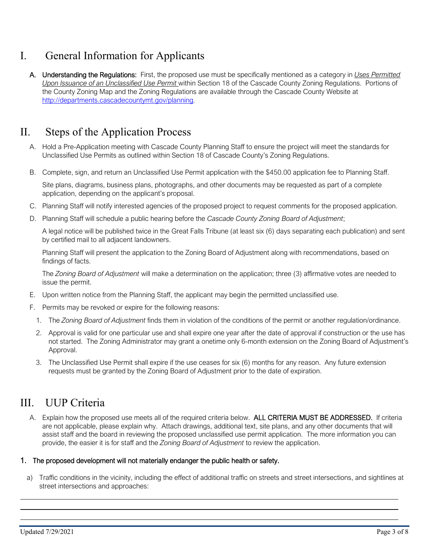# I. General Information for Applicants

A. Understanding the Regulations: First, the proposed use must be specifically mentioned as a category in *Uses Permitted Upon Issuance of an Unclassified Use Permit* within Section 18 of the Cascade County Zoning Regulations. Portions of the County Zoning Map and the Zoning Regulations are available through the Cascade County Website at [http://departments.cascadecountymt.gov/planning.](http://departments.cascadecountymt.gov/planning)

### II. Steps of the Application Process

- A. Hold a Pre-Application meeting with Cascade County Planning Staff to ensure the project will meet the standards for Unclassified Use Permits as outlined within Section 18 of Cascade County's Zoning Regulations.
- B. Complete, sign, and return an Unclassified Use Permit application with the \$450.00 application fee to Planning Staff.

Site plans, diagrams, business plans, photographs, and other documents may be requested as part of a complete application, depending on the applicant's proposal.

- C. Planning Staff will notify interested agencies of the proposed project to request comments for the proposed application.
- D. Planning Staff will schedule a public hearing before the *Cascade County Zoning Board of Adjustment*;

A legal notice will be published twice in the Great Falls Tribune (at least six (6) days separating each publication) and sent by certified mail to all adjacent landowners.

Planning Staff will present the application to the Zoning Board of Adjustment along with recommendations, based on findings of facts.

The *Zoning Board of Adjustment* will make a determination on the application; three (3) affirmative votes are needed to issue the permit.

- E. Upon written notice from the Planning Staff, the applicant may begin the permitted unclassified use.
- F. Permits may be revoked or expire for the following reasons:
	- 1. The *Zoning Board of Adjustment* finds them in violation of the conditions of the permit or another regulation/ordinance.
	- 2. Approval is valid for one particular use and shall expire one year after the date of approval if construction or the use has not started. The Zoning Administrator may grant a onetime only 6-month extension on the Zoning Board of Adjustment's Approval.
	- 3. The Unclassified Use Permit shall expire if the use ceases for six (6) months for any reason. Any future extension requests must be granted by the Zoning Board of Adjustment prior to the date of expiration.

# III. UUP Criteria

A. Explain how the proposed use meets all of the required criteria below. ALL CRITERIA MUST BE ADDRESSED. If criteria are not applicable, please explain why. Attach drawings, additional text, site plans, and any other documents that will assist staff and the board in reviewing the proposed unclassified use permit application. The more information you can provide, the easier it is for staff and the *Zoning Board of Adjustment* to review the application.

#### 1. The proposed development will not materially endanger the public health or safety.

a) Traffic conditions in the vicinity, including the effect of additional traffic on streets and street intersections, and sightlines at street intersections and approaches:

 $\overline{a}$  $\overline{a}$  $\overline{a}$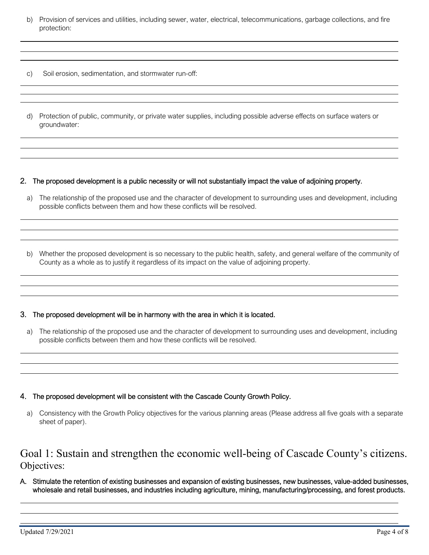- b) Provision of services and utilities, including sewer, water, electrical, telecommunications, garbage collections, and fire protection:
- c) Soil erosion, sedimentation, and stormwater run-off:

 $\overline{a}$  $\overline{a}$ 

 $\overline{a}$  $\overline{a}$  $\overline{a}$ 

 $\overline{a}$  $\overline{a}$  $\overline{a}$ 

 $\overline{a}$  $\overline{a}$  $\overline{a}$ 

 $\overline{a}$  $\overline{a}$  $\overline{a}$ 

 $\overline{a}$  $\overline{a}$  $\overline{a}$ 

 $\overline{a}$  $\overline{a}$  $\overline{a}$  d) Protection of public, community, or private water supplies, including possible adverse effects on surface waters or groundwater:

#### 2. The proposed development is a public necessity or will not substantially impact the value of adjoining property.

- a) The relationship of the proposed use and the character of development to surrounding uses and development, including possible conflicts between them and how these conflicts will be resolved.
- b) Whether the proposed development is so necessary to the public health, safety, and general welfare of the community of County as a whole as to justify it regardless of its impact on the value of adjoining property.

#### 3. The proposed development will be in harmony with the area in which it is located.

a) The relationship of the proposed use and the character of development to surrounding uses and development, including possible conflicts between them and how these conflicts will be resolved.

#### 4. The proposed development will be consistent with the Cascade County Growth Policy.

a) Consistency with the Growth Policy objectives for the various planning areas (Please address all five goals with a separate sheet of paper).

### Goal 1: Sustain and strengthen the economic well-being of Cascade County's citizens. Objectives:

A. Stimulate the retention of existing businesses and expansion of existing businesses, new businesses, value-added businesses, wholesale and retail businesses, and industries including agriculture, mining, manufacturing/processing, and forest products.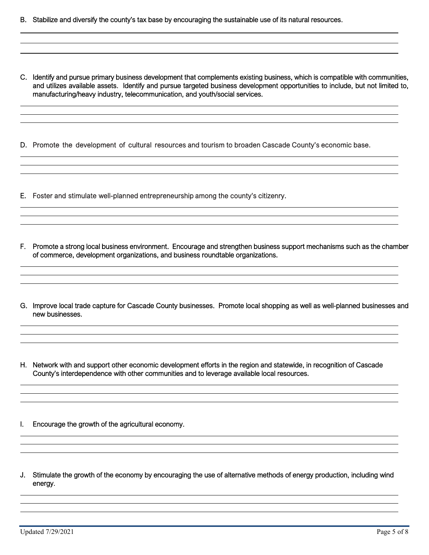- B. Stabilize and diversify the county's tax base by encouraging the sustainable use of its natural resources.
- C. Identify and pursue primary business development that complements existing business, which is compatible with communities, and utilizes available assets. Identify and pursue targeted business development opportunities to include, but not limited to, manufacturing/heavy industry, telecommunication, and youth/social services.
- D. Promote the development of cultural resources and tourism to broaden Cascade County's economic base.
- E. Foster and stimulate well-planned entrepreneurship among the county's citizenry.
- F. Promote a strong local business environment. Encourage and strengthen business support mechanisms such as the chamber of commerce, development organizations, and business roundtable organizations.

and the control of the control of the control of the control of the control of the control of the control of the

G. Improve local trade capture for Cascade County businesses. Promote local shopping as well as well-planned businesses and new businesses.

H. Network with and support other economic development efforts in the region and statewide, in recognition of Cascade County's interdependence with other communities and to leverage available local resources.

I. Encourage the growth of the agricultural economy.

  $\overline{\phantom{a}}$ 

J. Stimulate the growth of the economy by encouraging the use of alternative methods of energy production, including wind energy.  $\overline{a}$ 

 $\overline{a}$  $\overline{a}$  $\overline{a}$ 

 $\overline{a}$  $\overline{a}$  $\overline{a}$ 

 $\overline{a}$  $\overline{a}$  $\overline{a}$ 

 $\overline{a}$  $\overline{a}$  $\overline{a}$ 

 $\overline{a}$  $\overline{a}$  $\overline{a}$ 

 $\overline{a}$ 

 $\overline{a}$  $\overline{a}$  $\overline{a}$ 

 $\overline{a}$  $\overline{a}$  $\overline{a}$ 

 $\overline{a}$  $\overline{a}$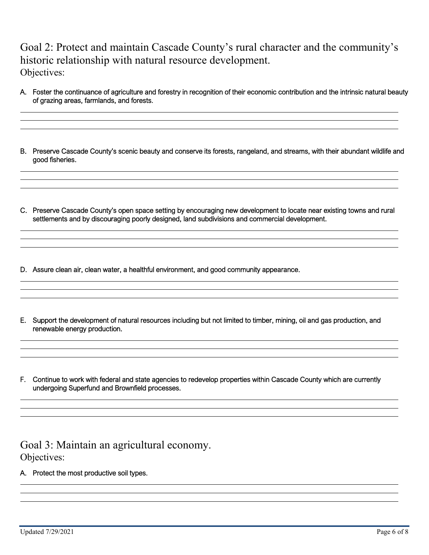Goal 2: Protect and maintain Cascade County's rural character and the community's historic relationship with natural resource development. Objectives:

A. Foster the continuance of agriculture and forestry in recognition of their economic contribution and the intrinsic natural beauty of grazing areas, farmlands, and forests.

B. Preserve Cascade County's scenic beauty and conserve its forests, rangeland, and streams, with their abundant wildlife and good fisheries.

- C. Preserve Cascade County's open space setting by encouraging new development to locate near existing towns and rural settlements and by discouraging poorly designed, land subdivisions and commercial development.
- D. Assure clean air, clean water, a healthful environment, and good community appearance.
- E. Support the development of natural resources including but not limited to timber, mining, oil and gas production, and renewable energy production.
- F. Continue to work with federal and state agencies to redevelop properties within Cascade County which are currently undergoing Superfund and Brownfield processes.

Goal 3: Maintain an agricultural economy. Objectives:

A. Protect the most productive soil types.

 $\overline{a}$  $\overline{a}$  $\overline{a}$ 

 $\overline{a}$  $\overline{a}$  $\overline{a}$ 

 $\overline{a}$  $\overline{a}$  $\overline{a}$ 

 $\overline{a}$  $\overline{a}$  $\overline{a}$ 

 $\overline{a}$  $\overline{a}$  $\overline{a}$ 

 $\overline{a}$  $\overline{a}$  $\overline{a}$ 

 $\overline{a}$  $\overline{a}$  $\overline{a}$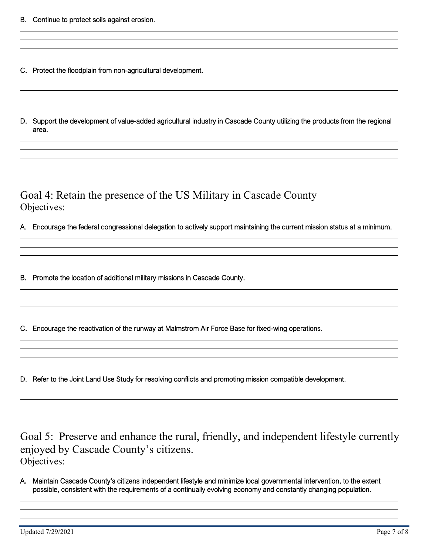$\overline{a}$  $\overline{a}$  $\overline{a}$ 

 $\overline{a}$  $\overline{a}$  $\overline{a}$ 

 $\overline{a}$  $\overline{a}$  $\overline{a}$ 

 $\overline{a}$  $\overline{a}$  $\overline{a}$ 

 $\overline{a}$  $\overline{a}$  $\overline{a}$ 

 $\overline{a}$  $\overline{a}$  $\overline{a}$ 

 $\overline{a}$  $\overline{a}$  $\overline{a}$ 

 $\overline{a}$  $\overline{a}$  $\overline{a}$ 

- C. Protect the floodplain from non-agricultural development.
- D. Support the development of value-added agricultural industry in Cascade County utilizing the products from the regional area.

Goal 4: Retain the presence of the US Military in Cascade County Objectives:

A. Encourage the federal congressional delegation to actively support maintaining the current mission status at a minimum.

B. Promote the location of additional military missions in Cascade County.

C. Encourage the reactivation of the runway at Malmstrom Air Force Base for fixed-wing operations.

D. Refer to the Joint Land Use Study for resolving conflicts and promoting mission compatible development.

Goal 5: Preserve and enhance the rural, friendly, and independent lifestyle currently enjoyed by Cascade County's citizens. Objectives:

A. Maintain Cascade County's citizens independent lifestyle and minimize local governmental intervention, to the extent possible, consistent with the requirements of a continually evolving economy and constantly changing population.